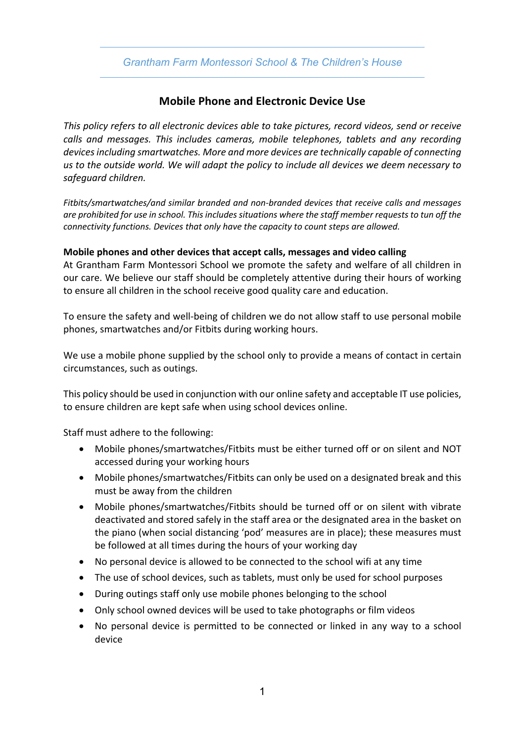## *Grantham Farm Montessori School & The Children's House*

# **Mobile Phone and Electronic Device Use**

*This policy refers to all electronic devices able to take pictures, record videos, send or receive calls and messages. This includes cameras, mobile telephones, tablets and any recording devices including smartwatches. More and more devices are technically capable of connecting us to the outside world. We will adapt the policy to include all devices we deem necessary to safeguard children.* 

*Fitbits/smartwatches/and similar branded and non-branded devices that receive calls and messages are prohibited for use in school. This includes situations where the staff member requests to tun off the connectivity functions. Devices that only have the capacity to count steps are allowed.*

#### **Mobile phones and other devices that accept calls, messages and video calling**

At Grantham Farm Montessori School we promote the safety and welfare of all children in our care. We believe our staff should be completely attentive during their hours of working to ensure all children in the school receive good quality care and education.

To ensure the safety and well-being of children we do not allow staff to use personal mobile phones, smartwatches and/or Fitbits during working hours.

We use a mobile phone supplied by the school only to provide a means of contact in certain circumstances, such as outings.

This policy should be used in conjunction with our online safety and acceptable IT use policies, to ensure children are kept safe when using school devices online.

Staff must adhere to the following:

- Mobile phones/smartwatches/Fitbits must be either turned off or on silent and NOT accessed during your working hours
- Mobile phones/smartwatches/Fitbits can only be used on a designated break and this must be away from the children
- Mobile phones/smartwatches/Fitbits should be turned off or on silent with vibrate deactivated and stored safely in the staff area or the designated area in the basket on the piano (when social distancing 'pod' measures are in place); these measures must be followed at all times during the hours of your working day
- No personal device is allowed to be connected to the school wifi at any time
- The use of school devices, such as tablets, must only be used for school purposes
- During outings staff only use mobile phones belonging to the school
- Only school owned devices will be used to take photographs or film videos
- No personal device is permitted to be connected or linked in any way to a school device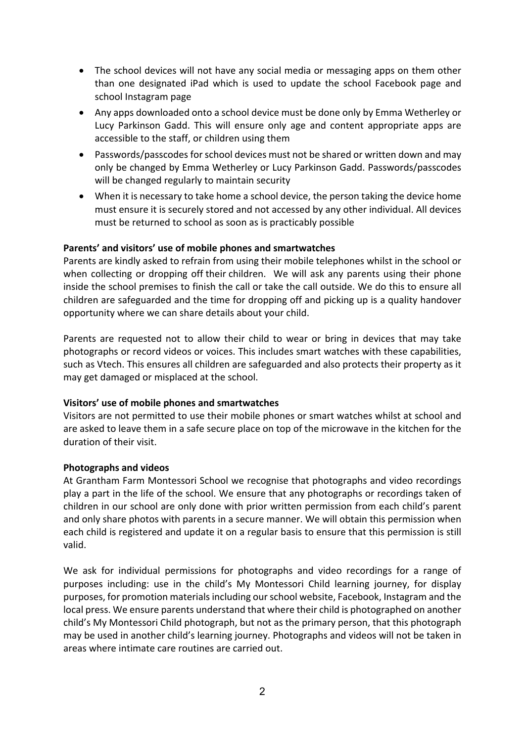- The school devices will not have any social media or messaging apps on them other than one designated iPad which is used to update the school Facebook page and school Instagram page
- Any apps downloaded onto a school device must be done only by Emma Wetherley or Lucy Parkinson Gadd. This will ensure only age and content appropriate apps are accessible to the staff, or children using them
- Passwords/passcodes for school devices must not be shared or written down and may only be changed by Emma Wetherley or Lucy Parkinson Gadd. Passwords/passcodes will be changed regularly to maintain security
- When it is necessary to take home a school device, the person taking the device home must ensure it is securely stored and not accessed by any other individual. All devices must be returned to school as soon as is practicably possible

### **Parents' and visitors' use of mobile phones and smartwatches**

Parents are kindly asked to refrain from using their mobile telephones whilst in the school or when collecting or dropping off their children. We will ask any parents using their phone inside the school premises to finish the call or take the call outside. We do this to ensure all children are safeguarded and the time for dropping off and picking up is a quality handover opportunity where we can share details about your child.

Parents are requested not to allow their child to wear or bring in devices that may take photographs or record videos or voices. This includes smart watches with these capabilities, such as Vtech. This ensures all children are safeguarded and also protects their property as it may get damaged or misplaced at the school.

#### **Visitors' use of mobile phones and smartwatches**

Visitors are not permitted to use their mobile phones or smart watches whilst at school and are asked to leave them in a safe secure place on top of the microwave in the kitchen for the duration of their visit.

#### **Photographs and videos**

At Grantham Farm Montessori School we recognise that photographs and video recordings play a part in the life of the school. We ensure that any photographs or recordings taken of children in our school are only done with prior written permission from each child's parent and only share photos with parents in a secure manner. We will obtain this permission when each child is registered and update it on a regular basis to ensure that this permission is still valid.

We ask for individual permissions for photographs and video recordings for a range of purposes including: use in the child's My Montessori Child learning journey, for display purposes, for promotion materials including our school website, Facebook, Instagram and the local press. We ensure parents understand that where their child is photographed on another child's My Montessori Child photograph, but not as the primary person, that this photograph may be used in another child's learning journey. Photographs and videos will not be taken in areas where intimate care routines are carried out.